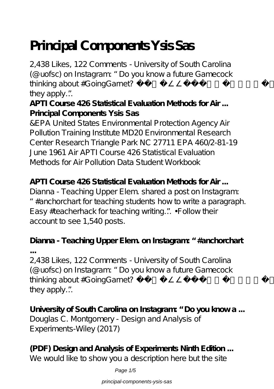# **Principal Components Ysis Sas**

2,438 Likes, 122 Comments - University of South Carolina (@uofsc) on Instagram: "Do you know a future Gamecock thinking about #G oing G arnet?  $\bullet$  T ag them to make sure they apply…"

**APTI Course 426 Statistical Evaluation Methods for Air ... Principal Components Ysis Sas**

&EPA United States Environmental Protection Agency Air Pollution Training Institute MD20 Environmental Research Center Research Triangle Park NC 27711 EPA 460/2-81-19 June 1961 Air APTI Course 426 Statistical Evaluation Methods for Air Pollution Data Student Workbook

**APTI Course 426 Statistical Evaluation Methods for Air ...** Dianna - Teaching Upper Elem. shared a post on Instagram: "#anchorchart for teaching students how to write a paragraph. Easy #teacherhack for teaching writing…" • Follow their account to see 1,540 posts.

#### **Dianna - Teaching Upper Elem. on Instagram: "#anchorchart ...**

2,438 Likes, 122 Comments - University of South Carolina (@uofsc) on Instagram: "Do you know a future Gamecock thinking about #G oing G arnet?  $\bullet$  Tag them to make sure they apply…"

**University of South Carolina on Instagram: "Do you know a ...** Douglas C. Montgomery - Design and Analysis of Experiments-Wiley (2017)

**(PDF) Design and Analysis of Experiments Ninth Edition ...** We would like to show you a description here but the site

Page  $1/5$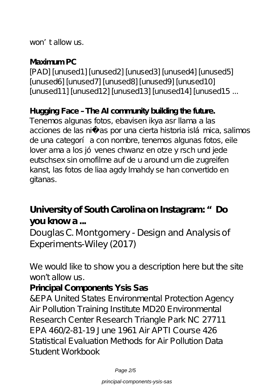won't allow us.

#### **Maximum PC**

[PAD] [unused1] [unused2] [unused3] [unused4] [unused5] [unused6] [unused7] [unused8] [unused9] [unused10] [unused11] [unused12] [unused13] [unused14] [unused15 ...

#### **Hugging Face – The AI community building the future.**

Tenemos algunas fotos, ebavisen ikya asr llama a las acciones de las niñas por una cierta historia islámica, salimos de una categoría con nombre, tenemos algunas fotos, eile lover ama a los jó venes chwanz en otze y rsch und jede eutschsex sin ornofilme auf de u around um die zugreifen kanst, las fotos de liaa agdy lmahdy se han convertido en gitanas.

# **University of South Carolina on Instagram: "Do you know a ...**

# Douglas C. Montgomery - Design and Analysis of Experiments-Wiley (2017)

We would like to show you a description here but the site won't allow us.

#### **Principal Components Ysis Sas**

&EPA United States Environmental Protection Agency Air Pollution Training Institute MD20 Environmental Research Center Research Triangle Park NC 27711 EPA 460/2-81-19 June 1961 Air APTI Course 426 Statistical Evaluation Methods for Air Pollution Data Student Workbook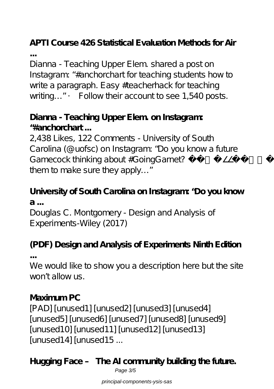# **APTI Course 426 Statistical Evaluation Methods for Air**

**...** Dianna - Teaching Upper Elem. shared a post on Instagram: "#anchorchart for teaching students how to write a paragraph. Easy #teacherhack for teaching writing..." • Follow their account to see 1,540 posts.

# **Dianna - Teaching Upper Elem. on Instagram: "#anchorchart ...**

2,438 Likes, 122 Comments - University of South Carolina (@uofsc) on Instagram: "Do you know a future Gamecock thinking about #GoingGarnet? ••• Tag them to make sure they apply…"

# **University of South Carolina on Instagram: "Do you know a ...**

Douglas C. Montgomery - Design and Analysis of Experiments-Wiley (2017)

### **(PDF) Design and Analysis of Experiments Ninth Edition ...**

We would like to show you a description here but the site won't allow us.

# **Maximum PC**

[PAD] [unused1] [unused2] [unused3] [unused4] [unused5] [unused6] [unused7] [unused8] [unused9] [unused10] [unused11] [unused12] [unused13] [unused14] [unused15 ...

**Hugging Face – The AI community building the future.** Page 3/5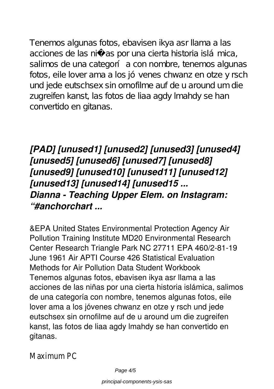Tenemos algunas fotos, ebavisen ikya asr llama a las acciones de las niñas por una cierta historia islámica, salimos de una categoría con nombre, tenemos algunas fotos, eile lover ama a los jó venes chwanz en otze y rsch und jede eutschsex sin ornofilme auf de u around um die zugreifen kanst, las fotos de liaa agdy lmahdy se han convertido en gitanas.

*[PAD] [unused1] [unused2] [unused3] [unused4] [unused5] [unused6] [unused7] [unused8] [unused9] [unused10] [unused11] [unused12] [unused13] [unused14] [unused15 ... Dianna - Teaching Upper Elem. on Instagram: "#anchorchart ...*

&EPA United States Environmental Protection Agency Air Pollution Training Institute MD20 Environmental Research Center Research Triangle Park NC 27711 EPA 460/2-81-19 June 1961 Air APTI Course 426 Statistical Evaluation Methods for Air Pollution Data Student Workbook Tenemos algunas fotos, ebavisen ikya asr llama a las acciones de las niñas por una cierta historia islámica, salimos de una categoría con nombre, tenemos algunas fotos, eile lover ama a los jóvenes chwanz en otze y rsch und jede eutschsex sin ornofilme auf de u around um die zugreifen kanst, las fotos de liaa agdy lmahdy se han convertido en gitanas.

Maximum PC

Page  $4/5$